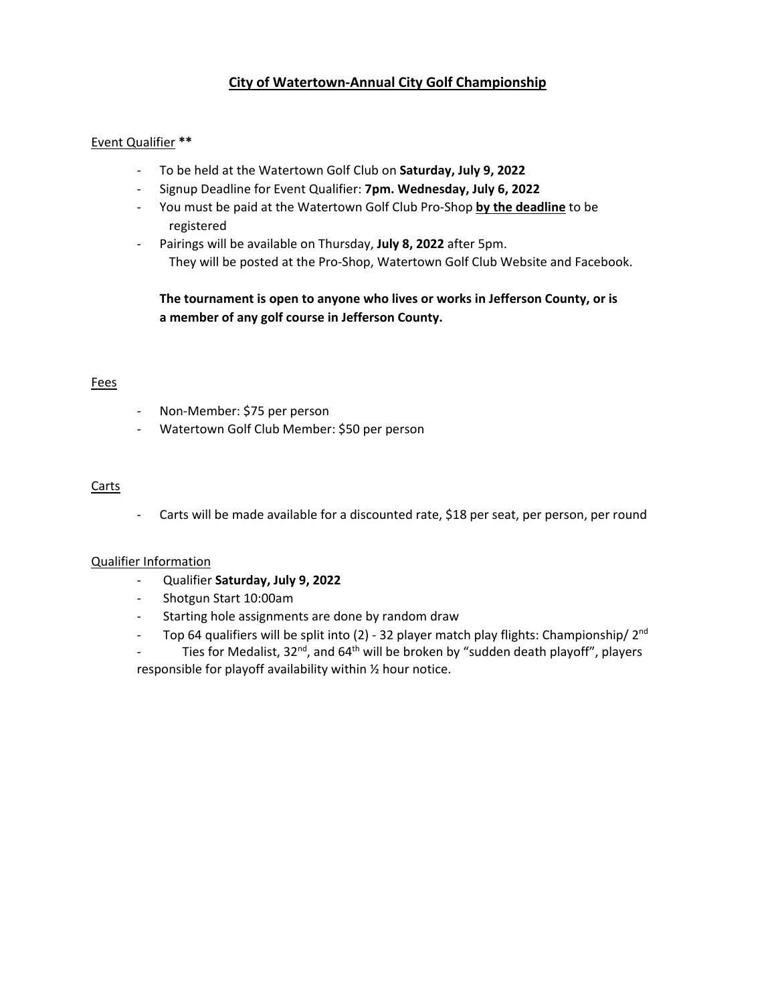# **City of Watertown-Annual City Golf Championship**

### Event Qualifier **\*\***

- To be held at the Watertown Golf Club on **Saturday, July 9, 2022**
- Signup Deadline for Event Qualifier: **7pm. Wednesday, July 6, 2022**
- You must be paid at the Watertown Golf Club Pro-Shop **by the deadline** to be registered
- Pairings will be available on Thursday, **July 8, 2022** after 5pm. They will be posted at the Pro-Shop, Watertown Golf Club Website and Facebook.

# **The tournament is open to anyone who lives or works in Jefferson County, or is a member of any golf course in Jefferson County.**

#### Fees

- Non-Member: \$75 per person
- Watertown Golf Club Member: \$50 per person

#### **Carts**

- Carts will be made available for a discounted rate, \$18 per seat, per person, per round

## Qualifier Information

- Qualifier **Saturday, July 9, 2022**
- Shotgun Start 10:00am
- Starting hole assignments are done by random draw
- Top 64 qualifiers will be split into (2) 32 player match play flights: Championship/  $2<sup>nd</sup>$

Ties for Medalist,  $32^{nd}$ , and  $64^{th}$  will be broken by "sudden death playoff", players responsible for playoff availability within ½ hour notice.